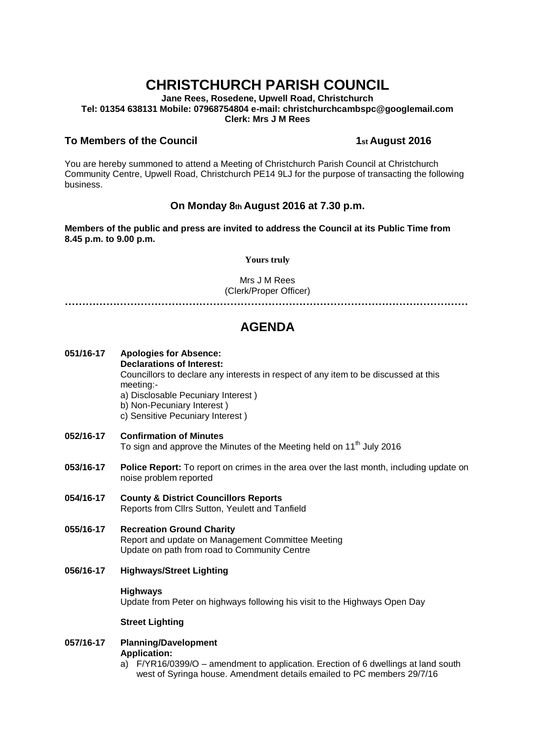# **CHRISTCHURCH PARISH COUNCIL**

**Jane Rees, Rosedene, Upwell Road, Christchurch Tel: 01354 638131 Mobile: 07968754804 e-mail: christchurchcambspc@googlemail.com Clerk: Mrs J M Rees**

#### **To Members of the Council 1st August 2016**

You are hereby summoned to attend a Meeting of Christchurch Parish Council at Christchurch Community Centre, Upwell Road, Christchurch PE14 9LJ for the purpose of transacting the following business.

### **On Monday 8th August 2016 at 7.30 p.m.**

**Members of the public and press are invited to address the Council at its Public Time from 8.45 p.m. to 9.00 p.m.** 

#### **Yours truly**

Mrs J M Rees (Clerk/Proper Officer)

**………………………………………………………………………………………………………**

## **AGENDA**

- **051/16-17 Apologies for Absence: Declarations of Interest:**  Councillors to declare any interests in respect of any item to be discussed at this meeting: a) Disclosable Pecuniary Interest ) b) Non-Pecuniary Interest ) c) Sensitive Pecuniary Interest )
- **052/16-17 Confirmation of Minutes**  To sign and approve the Minutes of the Meeting held on 11<sup>th</sup> July 2016
- **053/16-17 Police Report:** To report on crimes in the area over the last month, including update on noise problem reported
- **054/16-17 County & District Councillors Reports**  Reports from Cllrs Sutton, Yeulett and Tanfield
- **055/16-17 Recreation Ground Charity**  Report and update on Management Committee Meeting Update on path from road to Community Centre
- **056/16-17 Highways/Street Lighting**

#### **Highways**

Update from Peter on highways following his visit to the Highways Open Day

#### **Street Lighting**

#### **057/16-17 Planning/Davelopment Application:**

a) F/YR16/0399/O – amendment to application. Erection of 6 dwellings at land south west of Syringa house. Amendment details emailed to PC members 29/7/16